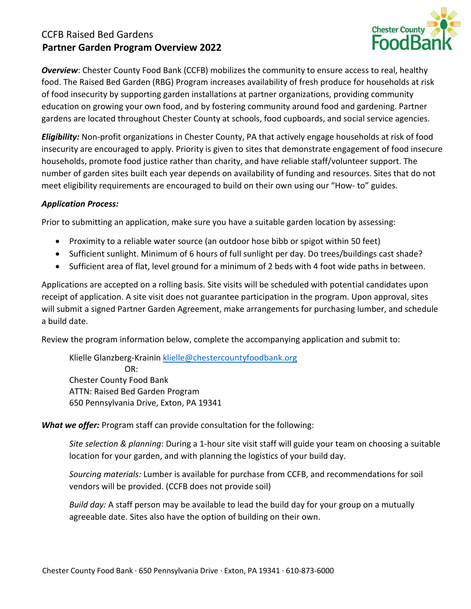## CCFB Raised Bed Gardens **Partner Garden Program Overview 2022**



*Overview*: Chester County Food Bank (CCFB) mobilizes the community to ensure access to real, healthy food. The Raised Bed Garden (RBG) Program increases availability of fresh produce for households at risk of food insecurity by supporting garden installations at partner organizations, providing community education on growing your own food, and by fostering community around food and gardening. Partner gardens are located throughout Chester County at schools, food cupboards, and social service agencies.

*Eligibility:* Non-profit organizations in Chester County, PA that actively engage households at risk of food insecurity are encouraged to apply. Priority is given to sites that demonstrate engagement of food insecure households, promote food justice rather than charity, and have reliable staff/volunteer support. The number of garden sites built each year depends on availability of funding and resources. Sites that do not meet eligibility requirements are encouraged to build on their own using our "How- to" guides.

## *Application Process:*

Prior to submitting an application, make sure you have a suitable garden location by assessing:

- Proximity to a reliable water source (an outdoor hose bibb or spigot within 50 feet)
- Sufficient sunlight. Minimum of 6 hours of full sunlight per day. Do trees/buildings cast shade?
- Sufficient area of flat, level ground for a minimum of 2 beds with 4 foot wide paths in between.

Applications are accepted on a rolling basis. Site visits will be scheduled with potential candidates upon receipt of application. A site visit does not guarantee participation in the program. Upon approval, sites will submit a signed Partner Garden Agreement, make arrangements for purchasing lumber, and schedule a build date.

Review the program information below, complete the accompanying application and submit to:

Klielle Glanzberg-Krainin [klielle@chestercountyfoodbank.org](mailto:klielle@chestercountyfoodbank.org) OR: Chester County Food Bank ATTN: Raised Bed Garden Program 650 Pennsylvania Drive, Exton, PA 19341

*What we offer:* Program staff can provide consultation for the following:

*Site selection & planning*: During a 1-hour site visit staff will guide your team on choosing a suitable location for your garden, and with planning the logistics of your build day.

*Sourcing materials:* Lumber is available for purchase from CCFB, and recommendations for soil vendors will be provided. (CCFB does not provide soil)

*Build day:* A staff person may be available to lead the build day for your group on a mutually agreeable date. Sites also have the option of building on their own.